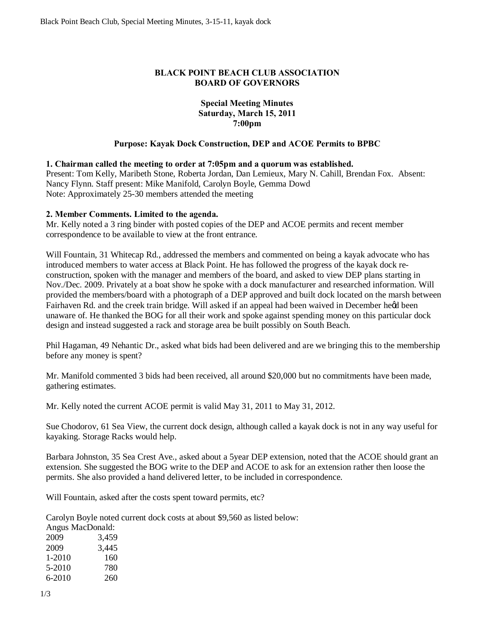# **BLACK POINT BEACH CLUB ASSOCIATION BOARD OF GOVERNORS**

## **Special Meeting Minutes Saturday, March 15, 2011 7:00pm**

## **Purpose: Kayak Dock Construction, DEP and ACOE Permits to BPBC**

#### **1. Chairman called the meeting to order at 7:05pm and a quorum was established.**

Present: Tom Kelly, Maribeth Stone, Roberta Jordan, Dan Lemieux, Mary N. Cahill, Brendan Fox. Absent: Nancy Flynn. Staff present: Mike Manifold, Carolyn Boyle, Gemma Dowd Note: Approximately 25-30 members attended the meeting

# **2. Member Comments. Limited to the agenda.**

Mr. Kelly noted a 3 ring binder with posted copies of the DEP and ACOE permits and recent member correspondence to be available to view at the front entrance.

Will Fountain, 31 Whitecap Rd., addressed the members and commented on being a kayak advocate who has introduced members to water access at Black Point. He has followed the progress of the kayak dock reconstruction, spoken with the manager and members of the board, and asked to view DEP plans starting in Nov./Dec. 2009. Privately at a boat show he spoke with a dock manufacturer and researched information. Will provided the members/board with a photograph of a DEP approved and built dock located on the marsh between Fairhaven Rd. and the creek train bridge. Will asked if an appeal had been waived in December heed been unaware of. He thanked the BOG for all their work and spoke against spending money on this particular dock design and instead suggested a rack and storage area be built possibly on South Beach.

Phil Hagaman, 49 Nehantic Dr., asked what bids had been delivered and are we bringing this to the membership before any money is spent?

Mr. Manifold commented 3 bids had been received, all around \$20,000 but no commitments have been made, gathering estimates.

Mr. Kelly noted the current ACOE permit is valid May 31, 2011 to May 31, 2012.

Sue Chodorov, 61 Sea View, the current dock design, although called a kayak dock is not in any way useful for kayaking. Storage Racks would help.

Barbara Johnston, 35 Sea Crest Ave., asked about a 5year DEP extension, noted that the ACOE should grant an extension. She suggested the BOG write to the DEP and ACOE to ask for an extension rather then loose the permits. She also provided a hand delivered letter, to be included in correspondence.

Will Fountain, asked after the costs spent toward permits, etc?

Carolyn Boyle noted current dock costs at about \$9,560 as listed below:

Angus MacDonald: 2009 3,459 2009 3,445 1-2010 160 5-2010 780 6-2010 260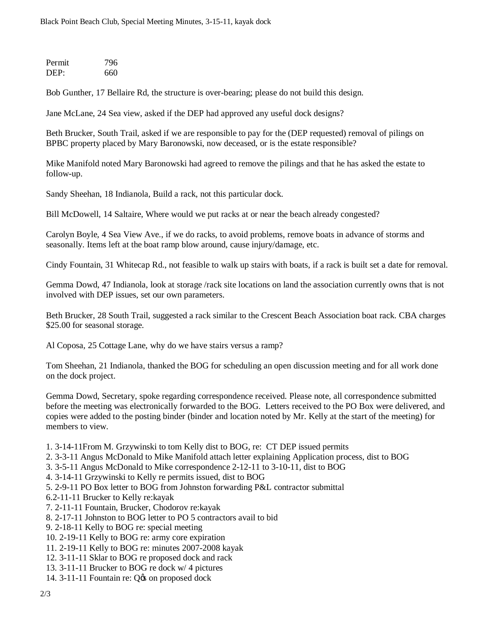| Permit | 796 |
|--------|-----|
| DEP:   | 660 |

Bob Gunther, 17 Bellaire Rd, the structure is over-bearing; please do not build this design.

Jane McLane, 24 Sea view, asked if the DEP had approved any useful dock designs?

Beth Brucker, South Trail, asked if we are responsible to pay for the (DEP requested) removal of pilings on BPBC property placed by Mary Baronowski, now deceased, or is the estate responsible?

Mike Manifold noted Mary Baronowski had agreed to remove the pilings and that he has asked the estate to follow-up.

Sandy Sheehan, 18 Indianola, Build a rack, not this particular dock.

Bill McDowell, 14 Saltaire, Where would we put racks at or near the beach already congested?

Carolyn Boyle, 4 Sea View Ave., if we do racks, to avoid problems, remove boats in advance of storms and seasonally. Items left at the boat ramp blow around, cause injury/damage, etc.

Cindy Fountain, 31 Whitecap Rd., not feasible to walk up stairs with boats, if a rack is built set a date for removal.

Gemma Dowd, 47 Indianola, look at storage /rack site locations on land the association currently owns that is not involved with DEP issues, set our own parameters.

Beth Brucker, 28 South Trail, suggested a rack similar to the Crescent Beach Association boat rack. CBA charges \$25.00 for seasonal storage.

Al Coposa, 25 Cottage Lane, why do we have stairs versus a ramp?

Tom Sheehan, 21 Indianola, thanked the BOG for scheduling an open discussion meeting and for all work done on the dock project.

Gemma Dowd, Secretary, spoke regarding correspondence received. Please note, all correspondence submitted before the meeting was electronically forwarded to the BOG. Letters received to the PO Box were delivered, and copies were added to the posting binder (binder and location noted by Mr. Kelly at the start of the meeting) for members to view.

- 1. 3-14-11From M. Grzywinski to tom Kelly dist to BOG, re: CT DEP issued permits
- 2. 3-3-11 Angus McDonald to Mike Manifold attach letter explaining Application process, dist to BOG
- 3. 3-5-11 Angus McDonald to Mike correspondence 2-12-11 to 3-10-11, dist to BOG
- 4. 3-14-11 Grzywinski to Kelly re permits issued, dist to BOG
- 5. 2-9-11 PO Box letter to BOG from Johnston forwarding P&L contractor submittal
- 6.2-11-11 Brucker to Kelly re:kayak
- 7. 2-11-11 Fountain, Brucker, Chodorov re:kayak
- 8. 2-17-11 Johnston to BOG letter to PO 5 contractors avail to bid
- 9. 2-18-11 Kelly to BOG re: special meeting
- 10. 2-19-11 Kelly to BOG re: army core expiration
- 11. 2-19-11 Kelly to BOG re: minutes 2007-2008 kayak
- 12. 3-11-11 Sklar to BOG re proposed dock and rack
- 13. 3-11-11 Brucker to BOG re dock w/ 4 pictures
- 14. 3-11-11 Fountain re: O to on proposed dock